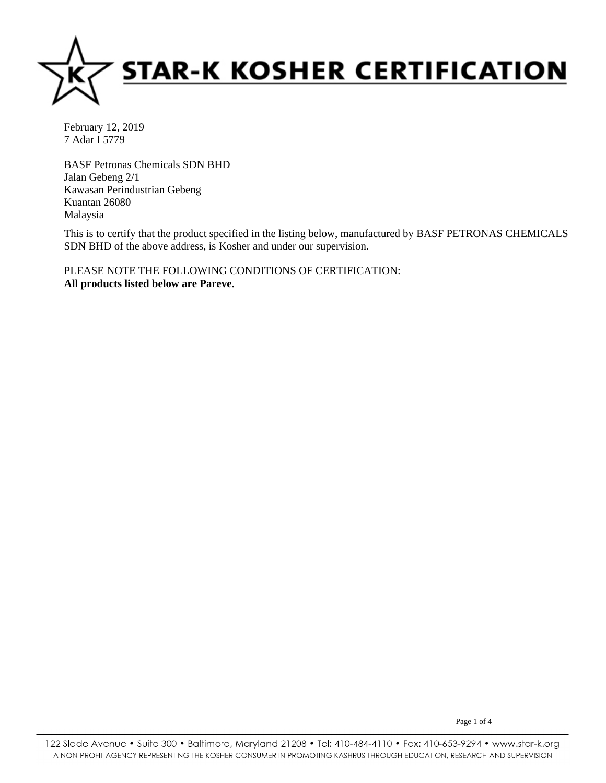

BASF Petronas Chemicals SDN BHD Jalan Gebeng 2/1 Kawasan Perindustrian Gebeng Kuantan 26080 Malaysia

This is to certify that the product specified in the listing below, manufactured by BASF PETRONAS CHEMICALS SDN BHD of the above address, is Kosher and under our supervision.

**All products listed below are Pareve.** PLEASE NOTE THE FOLLOWING CONDITIONS OF CERTIFICATION:

Page 1 of 4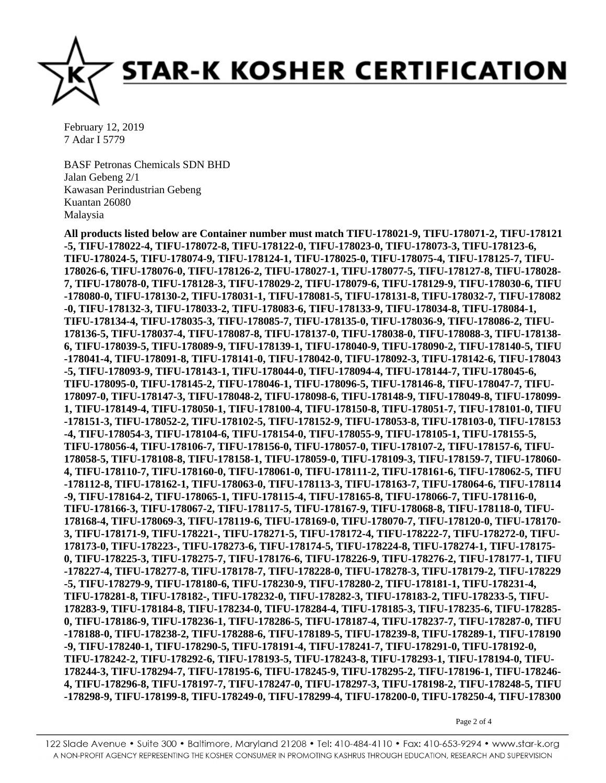

BASF Petronas Chemicals SDN BHD Jalan Gebeng 2/1 Kawasan Perindustrian Gebeng Kuantan 26080 Malaysia

**All products listed below are Container number must match TIFU-178021-9, TIFU-178071-2, TIFU-178121 -5, TIFU-178022-4, TIFU-178072-8, TIFU-178122-0, TIFU-178023-0, TIFU-178073-3, TIFU-178123-6, TIFU-178024-5, TIFU-178074-9, TIFU-178124-1, TIFU-178025-0, TIFU-178075-4, TIFU-178125-7, TIFU-178026-6, TIFU-178076-0, TIFU-178126-2, TIFU-178027-1, TIFU-178077-5, TIFU-178127-8, TIFU-178028- 7, TIFU-178078-0, TIFU-178128-3, TIFU-178029-2, TIFU-178079-6, TIFU-178129-9, TIFU-178030-6, TIFU -178080-0, TIFU-178130-2, TIFU-178031-1, TIFU-178081-5, TIFU-178131-8, TIFU-178032-7, TIFU-178082 -0, TIFU-178132-3, TIFU-178033-2, TIFU-178083-6, TIFU-178133-9, TIFU-178034-8, TIFU-178084-1, TIFU-178134-4, TIFU-178035-3, TIFU-178085-7, TIFU-178135-0, TIFU-178036-9, TIFU-178086-2, TIFU-178136-5, TIFU-178037-4, TIFU-178087-8, TIFU-178137-0, TIFU-178038-0, TIFU-178088-3, TIFU-178138- 6, TIFU-178039-5, TIFU-178089-9, TIFU-178139-1, TIFU-178040-9, TIFU-178090-2, TIFU-178140-5, TIFU -178041-4, TIFU-178091-8, TIFU-178141-0, TIFU-178042-0, TIFU-178092-3, TIFU-178142-6, TIFU-178043 -5, TIFU-178093-9, TIFU-178143-1, TIFU-178044-0, TIFU-178094-4, TIFU-178144-7, TIFU-178045-6, TIFU-178095-0, TIFU-178145-2, TIFU-178046-1, TIFU-178096-5, TIFU-178146-8, TIFU-178047-7, TIFU-178097-0, TIFU-178147-3, TIFU-178048-2, TIFU-178098-6, TIFU-178148-9, TIFU-178049-8, TIFU-178099- 1, TIFU-178149-4, TIFU-178050-1, TIFU-178100-4, TIFU-178150-8, TIFU-178051-7, TIFU-178101-0, TIFU -178151-3, TIFU-178052-2, TIFU-178102-5, TIFU-178152-9, TIFU-178053-8, TIFU-178103-0, TIFU-178153 -4, TIFU-178054-3, TIFU-178104-6, TIFU-178154-0, TIFU-178055-9, TIFU-178105-1, TIFU-178155-5, TIFU-178056-4, TIFU-178106-7, TIFU-178156-0, TIFU-178057-0, TIFU-178107-2, TIFU-178157-6, TIFU-178058-5, TIFU-178108-8, TIFU-178158-1, TIFU-178059-0, TIFU-178109-3, TIFU-178159-7, TIFU-178060- 4, TIFU-178110-7, TIFU-178160-0, TIFU-178061-0, TIFU-178111-2, TIFU-178161-6, TIFU-178062-5, TIFU -178112-8, TIFU-178162-1, TIFU-178063-0, TIFU-178113-3, TIFU-178163-7, TIFU-178064-6, TIFU-178114 -9, TIFU-178164-2, TIFU-178065-1, TIFU-178115-4, TIFU-178165-8, TIFU-178066-7, TIFU-178116-0, TIFU-178166-3, TIFU-178067-2, TIFU-178117-5, TIFU-178167-9, TIFU-178068-8, TIFU-178118-0, TIFU-178168-4, TIFU-178069-3, TIFU-178119-6, TIFU-178169-0, TIFU-178070-7, TIFU-178120-0, TIFU-178170- 3, TIFU-178171-9, TIFU-178221-, TIFU-178271-5, TIFU-178172-4, TIFU-178222-7, TIFU-178272-0, TIFU-178173-0, TIFU-178223-, TIFU-178273-6, TIFU-178174-5, TIFU-178224-8, TIFU-178274-1, TIFU-178175- 0, TIFU-178225-3, TIFU-178275-7, TIFU-178176-6, TIFU-178226-9, TIFU-178276-2, TIFU-178177-1, TIFU -178227-4, TIFU-178277-8, TIFU-178178-7, TIFU-178228-0, TIFU-178278-3, TIFU-178179-2, TIFU-178229 -5, TIFU-178279-9, TIFU-178180-6, TIFU-178230-9, TIFU-178280-2, TIFU-178181-1, TIFU-178231-4, TIFU-178281-8, TIFU-178182-, TIFU-178232-0, TIFU-178282-3, TIFU-178183-2, TIFU-178233-5, TIFU-178283-9, TIFU-178184-8, TIFU-178234-0, TIFU-178284-4, TIFU-178185-3, TIFU-178235-6, TIFU-178285- 0, TIFU-178186-9, TIFU-178236-1, TIFU-178286-5, TIFU-178187-4, TIFU-178237-7, TIFU-178287-0, TIFU -178188-0, TIFU-178238-2, TIFU-178288-6, TIFU-178189-5, TIFU-178239-8, TIFU-178289-1, TIFU-178190 -9, TIFU-178240-1, TIFU-178290-5, TIFU-178191-4, TIFU-178241-7, TIFU-178291-0, TIFU-178192-0, TIFU-178242-2, TIFU-178292-6, TIFU-178193-5, TIFU-178243-8, TIFU-178293-1, TIFU-178194-0, TIFU-178244-3, TIFU-178294-7, TIFU-178195-6, TIFU-178245-9, TIFU-178295-2, TIFU-178196-1, TIFU-178246- 4, TIFU-178296-8, TIFU-178197-7, TIFU-178247-0, TIFU-178297-3, TIFU-178198-2, TIFU-178248-5, TIFU -178298-9, TIFU-178199-8, TIFU-178249-0, TIFU-178299-4, TIFU-178200-0, TIFU-178250-4, TIFU-178300**

Page 2 of 4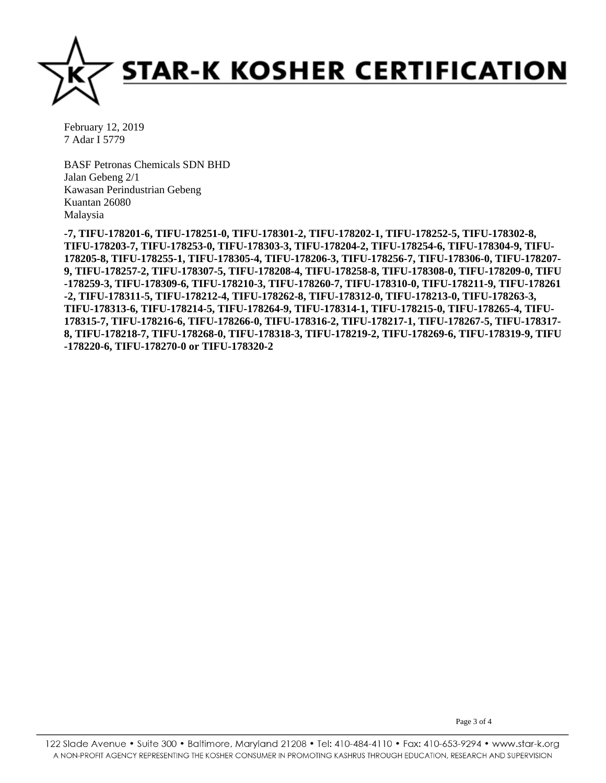

BASF Petronas Chemicals SDN BHD Jalan Gebeng 2/1 Kawasan Perindustrian Gebeng Kuantan 26080 Malaysia

**-7, TIFU-178201-6, TIFU-178251-0, TIFU-178301-2, TIFU-178202-1, TIFU-178252-5, TIFU-178302-8, TIFU-178203-7, TIFU-178253-0, TIFU-178303-3, TIFU-178204-2, TIFU-178254-6, TIFU-178304-9, TIFU-178205-8, TIFU-178255-1, TIFU-178305-4, TIFU-178206-3, TIFU-178256-7, TIFU-178306-0, TIFU-178207- 9, TIFU-178257-2, TIFU-178307-5, TIFU-178208-4, TIFU-178258-8, TIFU-178308-0, TIFU-178209-0, TIFU -178259-3, TIFU-178309-6, TIFU-178210-3, TIFU-178260-7, TIFU-178310-0, TIFU-178211-9, TIFU-178261 -2, TIFU-178311-5, TIFU-178212-4, TIFU-178262-8, TIFU-178312-0, TIFU-178213-0, TIFU-178263-3, TIFU-178313-6, TIFU-178214-5, TIFU-178264-9, TIFU-178314-1, TIFU-178215-0, TIFU-178265-4, TIFU-178315-7, TIFU-178216-6, TIFU-178266-0, TIFU-178316-2, TIFU-178217-1, TIFU-178267-5, TIFU-178317- 8, TIFU-178218-7, TIFU-178268-0, TIFU-178318-3, TIFU-178219-2, TIFU-178269-6, TIFU-178319-9, TIFU -178220-6, TIFU-178270-0 or TIFU-178320-2** 

Page 3 of 4